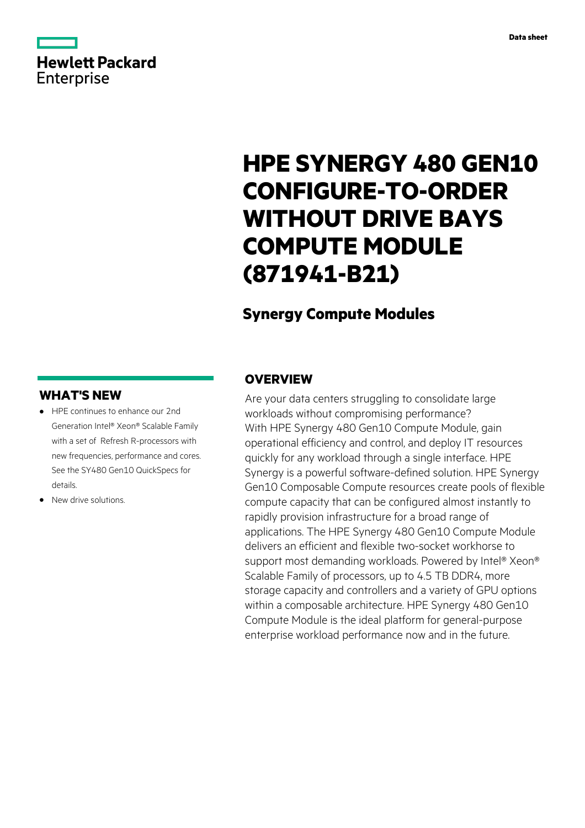# **Hewlett Packard** Enterprise

# **HPE SYNERGY 480 GEN10 CONFIGURE-TO-ORDER WITHOUT DRIVE BAYS COMPUTE MODULE (871941-B21)**

# **Synergy Compute Modules**

## **WHAT'S NEW**

- **·** HPE continues to enhance our 2nd Generation Intel® Xeon® Scalable Family with a set of Refresh R-processors with new frequencies, performance and cores. See the SY480 Gen10 QuickSpecs for details.
- **·** New drive solutions.

### **OVERVIEW**

Are your data centers struggling to consolidate large workloads without compromising performance? With HPE Synergy 480 Gen10 Compute Module, gain operational efficiency and control, and deploy IT resources quickly for any workload through a single interface. HPE Synergy is a powerful software-defined solution. HPE Synergy Gen10 Composable Compute resources create pools of flexible compute capacity that can be configured almost instantly to rapidly provision infrastructure for a broad range of applications. The HPE Synergy 480 Gen10 Compute Module delivers an efficient and flexible two-socket workhorse to support most demanding workloads. Powered by Intel® Xeon® Scalable Family of processors, up to 4.5 TB DDR4, more storage capacity and controllers and a variety of GPU options within a composable architecture. HPE Synergy 480 Gen10 Compute Module is the ideal platform for general-purpose enterprise workload performance now and in the future.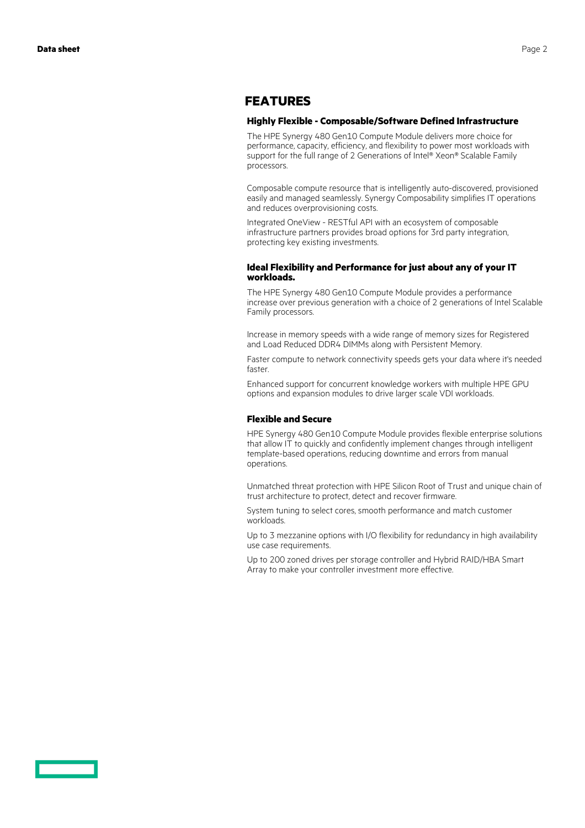### **FEATURES**

#### **Highly Flexible - Composable/Software Defined Infrastructure**

The HPE Synergy 480 Gen10 Compute Module delivers more choice for performance, capacity, efficiency, and flexibility to power most workloads with support for the full range of 2 Generations of Intel® Xeon® Scalable Family processors.

Composable compute resource that is intelligently auto-discovered, provisioned easily and managed seamlessly. Synergy Composability simplifies IT operations and reduces overprovisioning costs.

Integrated OneView - RESTful API with an ecosystem of composable infrastructure partners provides broad options for 3rd party integration, protecting key existing investments.

#### **Ideal Flexibility and Performance for just about any of your IT workloads.**

The HPE Synergy 480 Gen10 Compute Module provides a performance increase over previous generation with a choice of 2 generations of Intel Scalable Family processors.

Increase in memory speeds with a wide range of memory sizes for Registered and Load Reduced DDR4 DIMMs along with Persistent Memory.

Faster compute to network connectivity speeds gets your data where it's needed faster.

Enhanced support for concurrent knowledge workers with multiple HPE GPU options and expansion modules to drive larger scale VDI workloads.

#### **Flexible and Secure**

HPE Synergy 480 Gen10 Compute Module provides flexible enterprise solutions that allow IT to quickly and confidently implement changes through intelligent template-based operations, reducing downtime and errors from manual operations.

Unmatched threat protection with HPE Silicon Root of Trust and unique chain of trust architecture to protect, detect and recover firmware.

System tuning to select cores, smooth performance and match customer workloads.

Up to 3 mezzanine options with I/O flexibility for redundancy in high availability use case requirements.

Up to 200 zoned drives per storage controller and Hybrid RAID/HBA Smart Array to make your controller investment more effective.

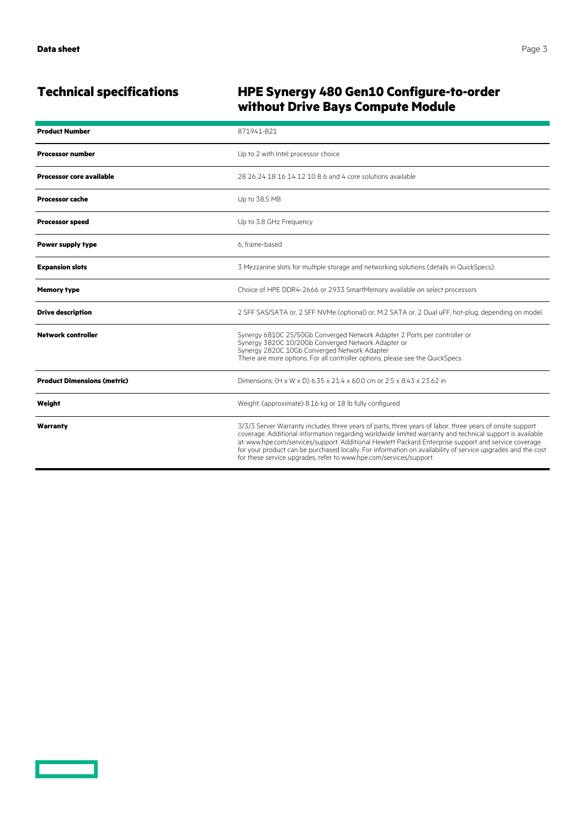<u>and the second part of the second part of the second part of the second part of the second part of the second part of the second part of the second part of the second part of the second part of the second part of the seco</u>

## **Technical specifications HPE Synergy 480 Gen10 Configure-to-order without Drive Bays Compute Module**

| <b>Product Number</b>              | 871941-B21                                                                                                                                                                                                                                                                                                                                                                                                                                                                                                        |
|------------------------------------|-------------------------------------------------------------------------------------------------------------------------------------------------------------------------------------------------------------------------------------------------------------------------------------------------------------------------------------------------------------------------------------------------------------------------------------------------------------------------------------------------------------------|
| <b>Processor number</b>            | Up to 2 with Intel processor choice                                                                                                                                                                                                                                                                                                                                                                                                                                                                               |
| <b>Processor core available</b>    | 28 26 24 18 16 14 12 10 8 6 and 4 core solutions available                                                                                                                                                                                                                                                                                                                                                                                                                                                        |
| <b>Processor cache</b>             | Up to 38.5 MB                                                                                                                                                                                                                                                                                                                                                                                                                                                                                                     |
| <b>Processor speed</b>             | Up to 3.8 GHz Frequency                                                                                                                                                                                                                                                                                                                                                                                                                                                                                           |
| <b>Power supply type</b>           | 6. frame-based                                                                                                                                                                                                                                                                                                                                                                                                                                                                                                    |
| <b>Expansion slots</b>             | 3 Mezzanine slots for multiple storage and networking solutions (details in QuickSpecs).                                                                                                                                                                                                                                                                                                                                                                                                                          |
| <b>Memory type</b>                 | Choice of HPE DDR4-2666 or 2933 SmartMemory available on select processors                                                                                                                                                                                                                                                                                                                                                                                                                                        |
| <b>Drive description</b>           | 2 SFF SAS/SATA or, 2 SFF NVMe (optional) or, M.2 SATA or, 2 Dual uFF, hot-plug, depending on model.                                                                                                                                                                                                                                                                                                                                                                                                               |
| <b>Network controller</b>          | Synergy 6810C 25/50Gb Converged Network Adapter 2 Ports per controller or<br>Synergy 3820C 10/20Gb Converged Network Adapter or<br>Synergy 2820C 10Gb Converged Network Adapter<br>There are more options. For all controller options, please see the QuickSpecs                                                                                                                                                                                                                                                  |
| <b>Product Dimensions (metric)</b> | Dimensions: (H x W x D) 6.35 x 21.4 x 60.0 cm or 2.5 x 8.43 x 23.62 in                                                                                                                                                                                                                                                                                                                                                                                                                                            |
| Weight                             | Weight: (approximate) 8.16 kg or 18 lb fully configured                                                                                                                                                                                                                                                                                                                                                                                                                                                           |
| Warranty                           | 3/3/3 Server Warranty includes three years of parts, three years of labor, three years of onsite support<br>coverage. Additional information regarding worldwide limited warranty and technical support is available<br>at: www.hpe.com/services/support. Additional Hewlett Packard Enterprise support and service coverage<br>for your product can be purchased locally. For information on availability of service upgrades and the cost<br>for these service upgrades, refer to www.hpe.com/services/support. |